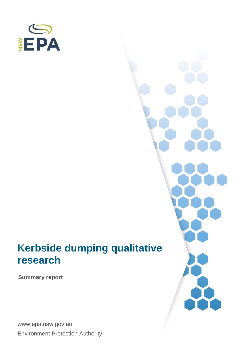

# **Kerbside dumping qualitative research**

**Summary report**

www.epa.nsw.gov.au Environment Protection Authority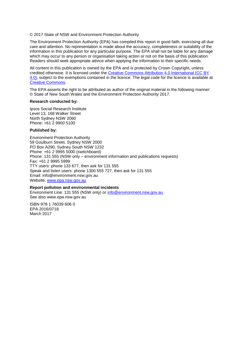© 2017 State of NSW and Environment Protection Authority

The Environment Protection Authority (EPA) has compiled this report in good faith, exercising all due care and attention. No representation is made about the accuracy, completeness or suitability of the information in this publication for any particular purpose. The EPA shall not be liable for any damage which may occur to any person or organisation taking action or not on the basis of this publication. Readers should seek appropriate advice when applying the information to their specific needs.

All content in this publication is owned by the EPA and is protected by Crown Copyright, unless credited otherwise. It is licensed under the [Creative Commons Attribution 4.0 International \(CC BY](http://creativecommons.org/licenses/by/4.0/deed.en)  [4.0\),](http://creativecommons.org/licenses/by/4.0/deed.en) subject to the exemptions contained in the licence. The legal code for the licence is available at [Creative Commons.](http://creativecommons.org/licenses/by/4.0/legalcode)

The EPA asserts the right to be attributed as author of the original material in the following manner: © State of New South Wales and the Environment Protection Authority 2017.

#### **Research conducted by:**

Ipsos Social Research Institute Level 13, 168 Walker Street North Sydney NSW 2060 Phone: +61 2 9900 5100

#### **Published by:**

Environment Protection Authority 59 Goulburn Street, Sydney NSW 2000 PO Box A290, Sydney South NSW 1232 Phone: +61 2 9995 5000 (switchboard) Phone: 131 555 (NSW only – environment information and publications requests) Fax: +61 2 9995 5999 TTY users: phone 133 677, then ask for 131 555 Speak and listen users: phone 1300 555 727, then ask for 131 555 Email: info@environment.nsw.gov.au Website: [www.epa.nsw.gov.au](http://www.epa.nsw.gov.au/)

#### **Report pollution and environmental incidents**

Environment Line: 131 555 (NSW only) or [info@environment.nsw.gov.au](mailto:info@environment.nsw.gov.au) See also www.epa.nsw.gov.au

ISBN 978 1 76039 606 0 EPA 2016/0718 March 2017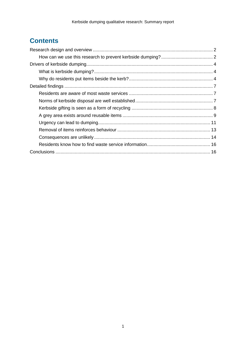# **Contents**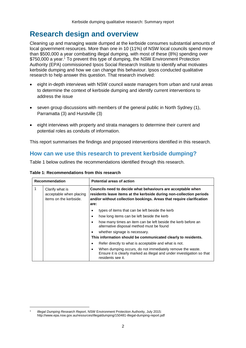# <span id="page-3-0"></span>**Research design and overview**

Cleaning up and managing waste dumped at the kerbside consumes substantial amounts of local government resources. More than one in 10 (11%) of NSW local councils spend more than \$500,000 a year combatting illegal dumping, with most of these (8%) spending over \$750,000 a year.<sup>1</sup> To prevent this type of dumping, the NSW Environment Protection Authority (EPA) commissioned Ipsos Social Research Institute to identify what motivates kerbside dumping and how we can change this behaviour. Ipsos conducted qualitative research to help answer this question. That research involved:

- eight in-depth interviews with NSW council waste managers from urban and rural areas to determine the context of kerbside dumping and identify current interventions to address the issue
- seven group discussions with members of the general public in North Sydney (1), Parramatta (3) and Hurstville (3)
- eight interviews with property and strata managers to determine their current and potential roles as conduits of information.

This report summarises the findings and proposed interventions identified in this research.

# <span id="page-3-1"></span>**How can we use this research to prevent kerbside dumping?**

Table 1 below outlines the recommendations identified through this research.

| <b>Recommendation</b> |                                                                      | <b>Potential areas of action</b>                                                                                                                                                                                   |  |
|-----------------------|----------------------------------------------------------------------|--------------------------------------------------------------------------------------------------------------------------------------------------------------------------------------------------------------------|--|
| 1                     | Clarify what is<br>acceptable when placing<br>items on the kerbside. | Councils need to decide what behaviours are acceptable when<br>residents leave items at the kerbside during non-collection periods<br>and/or without collection bookings. Areas that require clarification<br>are: |  |
|                       |                                                                      | types of items that can be left beside the kerb                                                                                                                                                                    |  |
|                       |                                                                      | how long items can be left beside the kerb                                                                                                                                                                         |  |
|                       |                                                                      | how many times an item can be left beside the kerb before an<br>alternative disposal method must be found                                                                                                          |  |
|                       |                                                                      | whether signage is necessary.                                                                                                                                                                                      |  |
|                       |                                                                      | This information should be communicated clearly to residents.                                                                                                                                                      |  |
|                       |                                                                      | Refer directly to what is acceptable and what is not.                                                                                                                                                              |  |
|                       |                                                                      | When dumping occurs, do not immediately remove the waste.<br>Ensure it is clearly marked as illegal and under investigation so that<br>residents see it.                                                           |  |

**Table 1: Recommendations from this research**

<sup>1</sup> *Illegal Dumping Research Report*, NSW Environment Protection Authority, July 2015: <http://www.epa.nsw.gov.au/resources/illegaldumping/150481-illegal-dumping-report.pdf>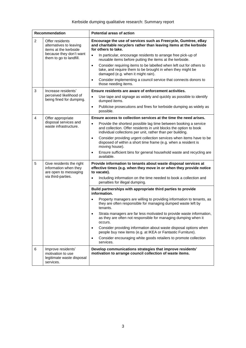| <b>Recommendation</b> |                                                                                                                           | <b>Potential areas of action</b>                                                                                                                                                                                 |
|-----------------------|---------------------------------------------------------------------------------------------------------------------------|------------------------------------------------------------------------------------------------------------------------------------------------------------------------------------------------------------------|
| $\overline{2}$        | Offer residents<br>alternatives to leaving<br>items at the kerbside<br>because they don't want<br>them to go to landfill. | Encourage the use of services such as Freecycle, Gumtree, eBay<br>and charitable recyclers rather than leaving items at the kerbside<br>for others to take.                                                      |
|                       |                                                                                                                           | In particular, encourage residents to arrange free pick-up of<br>$\bullet$<br>reusable items before putting the items at the kerbside.                                                                           |
|                       |                                                                                                                           | Consider requiring items to be labelled when left out for others to<br>$\bullet$<br>take, and require them to be brought in when they might be<br>damaged (e.g. when it might rain).                             |
|                       |                                                                                                                           | Consider implementing a council service that connects donors to<br>$\bullet$<br>those needing items.                                                                                                             |
| 3                     | Increase residents'<br>perceived likelihood of<br>being fined for dumping.                                                | Ensure residents are aware of enforcement activities.                                                                                                                                                            |
|                       |                                                                                                                           | Use tape and signage as widely and quickly as possible to identify<br>dumped items.                                                                                                                              |
|                       |                                                                                                                           | Publicise prosecutions and fines for kerbside dumping as widely as<br>$\bullet$<br>possible.                                                                                                                     |
| 4                     | Offer appropriate<br>disposal services and<br>waste infrastructure.                                                       | Ensure access to collection services at the time the need arises.                                                                                                                                                |
|                       |                                                                                                                           | Provide the shortest possible lag time between booking a service<br>$\bullet$<br>and collection. Offer residents in unit blocks the option to book<br>individual collections per unit, rather than per building. |
|                       |                                                                                                                           | Consider providing urgent collection services when items have to be<br>$\bullet$<br>disposed of within a short time frame (e.g. when a resident is<br>moving house).                                             |
|                       |                                                                                                                           | Ensure sufficient bins for general household waste and recycling are<br>$\bullet$<br>available.                                                                                                                  |
| 5                     | Give residents the right<br>information when they<br>are open to messaging<br>via third-parties.                          | Provide information to tenants about waste disposal services at<br>effective times (e.g. when they move in or when they provide notice<br>to vacate).                                                            |
|                       |                                                                                                                           | Including information on the time needed to book a collection and<br>$\bullet$<br>penalties for illegal dumping.                                                                                                 |
|                       |                                                                                                                           | Build partnerships with appropriate third parties to provide<br>information.                                                                                                                                     |
|                       |                                                                                                                           | Property managers are willing to providing information to tenants, as<br>they are often responsible for managing dumped waste left by<br>tenants.                                                                |
|                       |                                                                                                                           | Strata managers are far less motivated to provide waste information,<br>as they are often not responsible for managing dumping when it<br>occurs.                                                                |
|                       |                                                                                                                           | Consider providing information about waste disposal options when<br>$\bullet$<br>people buy new items (e.g. at IKEA or Fantastic Furniture).                                                                     |
|                       |                                                                                                                           | Consider encouraging white goods retailers to promote collection<br>$\bullet$<br>services.                                                                                                                       |
| 6                     | Improve residents'<br>motivation to use<br>legitimate waste disposal<br>services.                                         | Develop communications strategies that improve residents'<br>motivation to arrange council collection of waste items.                                                                                            |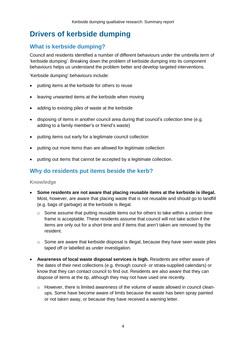# <span id="page-5-0"></span>**Drivers of kerbside dumping**

# <span id="page-5-1"></span>**What is kerbside dumping?**

Council and residents identified a number of different behaviours under the umbrella term of 'kerbside dumping'. Breaking down the problem of kerbside dumping into its component behaviours helps us understand the problem better and develop targeted interventions.

'Kerbside dumping' behaviours include:

- putting items at the kerbside for others to reuse
- leaving unwanted items at the kerbside when moving
- adding to existing piles of waste at the kerbside
- disposing of items in another council area during that council's collection time (e.g. adding to a family member's or friend's waste)
- putting items out early for a legitimate council collection
- putting out more items than are allowed for legitimate collection
- putting out items that cannot be accepted by a legitimate collection.

# <span id="page-5-2"></span>**Why do residents put items beside the kerb?**

#### **Knowledge**

- **Some residents are not aware that placing reusable items at the kerbside is illegal.** Most, however, are aware that placing waste that is not reusable and should go to landfill (e.g. bags of garbage) at the kerbside is illegal.
	- o Some assume that putting reusable items out for others to take within a certain time frame is acceptable. These residents assume that council will not take action if the items are only out for a short time and if items that aren't taken are removed by the resident.
	- $\circ$  Some are aware that kerbside disposal is illegal, because they have seen waste piles taped off or labelled as under investigation.
- **Awareness of local waste disposal services is high.** Residents are either aware of the dates of their next collections (e.g. through council- or strata-supplied calendars) or know that they can contact council to find out. Residents are also aware that they can dispose of items at the tip, although they may not have used one recently.
	- o However, there is limited awareness of the volume of waste allowed in council cleanups. Some have become aware of limits because the waste has been spray painted or not taken away, or because they have received a warning letter.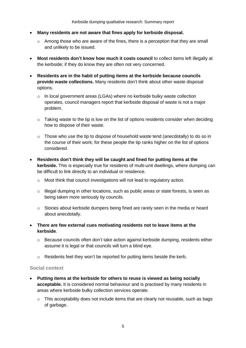- **Many residents are not aware that fines apply for kerbside disposal.**
	- o Among those who are aware of the fines, there is a perception that they are small and unlikely to be issued.
- **Most residents don't know how much it costs council** to collect items left illegally at the kerbside; if they do know they are often not very concerned.
- **Residents are in the habit of putting items at the kerbside because councils provide waste collections.** Many residents don't think about other waste disposal options.
	- $\circ$  In local government areas (LGAs) where no kerbside bulky waste collection operates, council managers report that kerbside disposal of waste is not a major problem.
	- $\circ$  Taking waste to the tip is low on the list of options residents consider when deciding how to dispose of their waste.
	- o Those who use the tip to dispose of household waste tend (anecdotally) to do so in the course of their work; for these people the tip ranks higher on the list of options considered.
- **Residents don't think they will be caught and fined for putting items at the kerbside.** This is especially true for residents of multi-unit dwellings, where dumping can be difficult to link directly to an individual or residence.
	- o Most think that council investigations will not lead to regulatory action.
	- o Illegal dumping in other locations, such as public areas or state forests, is seen as being taken more seriously by councils.
	- o Stories about kerbside dumpers being fined are rarely seen in the media or heard about anecdotally.
- **There are few external cues motivating residents not to leave items at the kerbside**.
	- $\circ$  Because councils often don't take action against kerbside dumping, residents either assume it is legal or that councils will turn a blind eye.
	- o Residents feel they won't be reported for putting items beside the kerb.

#### **Social context**

- **Putting items at the kerbside for others to reuse is viewed as being socially acceptable.** It is considered normal behaviour and is practised by many residents in areas where kerbside bulky collection services operate.
	- o This acceptability does not include items that are clearly not reusable, such as bags of garbage.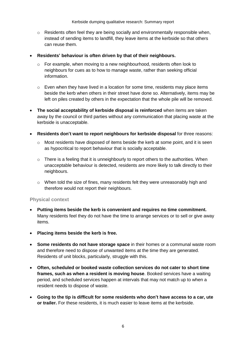- $\circ$  Residents often feel they are being socially and environmentally responsible when, instead of sending items to landfill, they leave items at the kerbside so that others can reuse them.
- **Residents' behaviour is often driven by that of their neighbours.**
	- o For example, when moving to a new neighbourhood, residents often look to neighbours for cues as to how to manage waste, rather than seeking official information.
	- $\circ$  Even when they have lived in a location for some time, residents may place items beside the kerb when others in their street have done so. Alternatively, items may be left on piles created by others in the expectation that the whole pile will be removed.
- **The social acceptability of kerbside disposal is reinforced** when items are taken away by the council or third parties without any communication that placing waste at the kerbside is unacceptable.
- **Residents don't want to report neighbours for kerbside disposal** for three reasons:
	- o Most residents have disposed of items beside the kerb at some point, and it is seen as hypocritical to report behaviour that is socially acceptable.
	- o There is a feeling that it is unneighbourly to report others to the authorities. When unacceptable behaviour is detected, residents are more likely to talk directly to their neighbours.
	- $\circ$  When told the size of fines, many residents felt they were unreasonably high and therefore would not report their neighbours.

### **Physical context**

- **Putting items beside the kerb is convenient and requires no time commitment.** Many residents feel they do not have the time to arrange services or to sell or give away items.
- **Placing items beside the kerb is free.**
- **Some residents do not have storage space** in their homes or a communal waste room and therefore need to dispose of unwanted items at the time they are generated. Residents of unit blocks, particularly, struggle with this.
- **Often, scheduled or booked waste collection services do not cater to short time frames, such as when a resident is moving house**. Booked services have a waiting period, and scheduled services happen at intervals that may not match up to when a resident needs to dispose of waste.
- **Going to the tip is difficult for some residents who don't have access to a car, ute or trailer.** For these residents, it is much easier to leave items at the kerbside.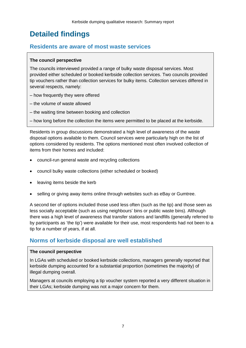# <span id="page-8-0"></span>**Detailed findings**

# <span id="page-8-1"></span>**Residents are aware of most waste services**

# **The council perspective**

The councils interviewed provided a range of bulky waste disposal services. Most provided either scheduled or booked kerbside collection services. Two councils provided tip vouchers rather than collection services for bulky items. Collection services differed in several respects, namely:

- how frequently they were offered
- the volume of waste allowed
- the waiting time between booking and collection
- how long before the collection the items were permitted to be placed at the kerbside.

Residents in group discussions demonstrated a high level of awareness of the waste disposal options available to them. Council services were particularly high on the list of options considered by residents. The options mentioned most often involved collection of items from their homes and included:

- council-run general waste and recycling collections
- council bulky waste collections (either scheduled or booked)
- leaving items beside the kerb
- selling or giving away items online through websites such as eBay or Gumtree.

A second tier of options included those used less often (such as the tip) and those seen as less socially acceptable (such as using neighbours' bins or public waste bins). Although there was a high level of awareness that transfer stations and landfills (generally referred to by participants as 'the tip') were available for their use, most respondents had not been to a tip for a number of years, if at all.

# <span id="page-8-2"></span>**Norms of kerbside disposal are well established**

#### **The council perspective**

In LGAs with scheduled or booked kerbside collections, managers generally reported that kerbside dumping accounted for a substantial proportion (sometimes the majority) of illegal dumping overall.

Managers at councils employing a tip voucher system reported a very different situation in their LGAs; kerbside dumping was not a major concern for them.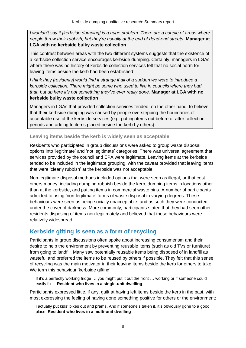*I* wouldn't say it [kerbside dumping] is a huge problem. There are a couple of areas where *people throw their rubbish, but they're usually at the end of dead-end streets.* **Manager at LGA with no kerbside bulky waste collection**

This contrast between areas with the two different systems suggests that the existence of a kerbside collection service encourages kerbside dumping. Certainly, managers in LGAs where there was no history of kerbside collection services felt that no social norm for leaving items beside the kerb had been established:

*I think they [residents] would find it strange if all of a sudden we were to introduce a kerbside collection. There might be some who used to live in councils where they had that, but up here it's not something they've ever really done.* **Manager at LGA with no kerbside bulky waste collection**

Managers in LGAs that provided collection services tended, on the other hand, to believe that their kerbside dumping was caused by people overstepping the boundaries of acceptable use of the kerbside services (e.g. putting items out before or after collection periods and adding to items placed beside the kerb by others).

#### **Leaving items beside the kerb is widely seen as acceptable**

Residents who participated in group discussions were asked to group waste disposal options into 'legitimate' and 'not legitimate' categories. There was universal agreement that services provided by the council and EPA were legitimate. Leaving items at the kerbside tended to be included in the legitimate grouping, with the caveat provided that leaving items that were 'clearly rubbish' at the kerbside was not acceptable.

Non-legitimate disposal methods included options that were seen as illegal, or that cost others money, including dumping rubbish beside the kerb, dumping items in locations other than at the kerbside, and putting items in commercial waste bins. A number of participants admitted to using 'non-legitimate' forms of waste disposal to varying degrees. These behaviours were seen as being socially unacceptable, and as such they were conducted under the cover of darkness. More commonly, participants stated that they had seen other residents disposing of items non-legitimately and believed that these behaviours were relatively widespread.

# <span id="page-9-0"></span>**Kerbside gifting is seen as a form of recycling**

Participants in group discussions often spoke about increasing consumerism and their desire to help the environment by preventing reusable items (such as old TVs or furniture) from going to landfill. Many saw potentially reusable items being disposed of in landfill as wasteful and preferred the items to be reused by others if possible. They felt that this sense of recycling was the main motivator in their leaving items beside the kerb for others to take. We term this behaviour 'kerbside gifting'.

If it's a perfectly working fridge … you might put it out the front … working or if someone could easily fix it. **Resident who lives in a single-unit dwelling**

Participants expressed little, if any, guilt at having left items beside the kerb in the past, with most expressing the feeling of having done something positive for others or the environment:

I actually put kids' bikes out and prams. And if someone's taken it, it's obviously gone to a good place. **Resident who lives in a multi-unit dwelling**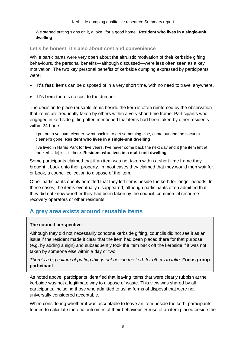We started putting signs on it, a joke, 'for a good home'. **Resident who lives in a single-unit dwelling**

**Let's be honest: it's also about cost and convenience**

While participants were very open about the altruistic motivation of their kerbside gifting behaviours, the personal benefits—although discussed—were less often seen as a key motivation. The two key personal benefits of kerbside dumping expressed by participants were:

- **It's fast:** items can be disposed of in a very short time, with no need to travel anywhere.
- **It's free:** there's no cost to the dumper.

The decision to place reusable items beside the kerb is often reinforced by the observation that items are frequently taken by others within a very short time frame. Participants who engaged in kerbside gifting often mentioned that items had been taken by other residents within 24 hours:

I put out a vacuum cleaner, went back in to get something else, came out and the vacuum cleaner's gone. **Resident who lives in a single-unit dwelling**

I've lived in Harris Park for five years. I've never come back the next day and it [the item left at the kerbside] is still there. **Resident who lives in a multi-unit dwelling**

Some participants claimed that if an item was not taken within a short time frame they brought it back onto their property. In most cases they claimed that they would then wait for, or book, a council collection to dispose of the item.

Other participants openly admitted that they left items beside the kerb for longer periods. In these cases, the items eventually disappeared, although participants often admitted that they did not know whether they had been taken by the council, commercial resource recovery operators or other residents.

# <span id="page-10-0"></span>**A grey area exists around reusable items**

### **The council perspective**

Although they did not necessarily condone kerbside gifting, councils did not see it as an issue if the resident made it clear that the item had been placed there for that purpose (e.g. by adding a sign) and subsequently took the item back off the kerbside if it was not taken by someone else within a day or two.

*There's a big culture of putting things out beside the kerb for others to take.* **Focus group participant**

As noted above, participants identified that leaving items that were clearly rubbish at the kerbside was not a legitimate way to dispose of waste. This view was shared by all participants, including those who admitted to using forms of disposal that were not universally considered acceptable.

When considering whether it was acceptable to leave an item beside the kerb, participants tended to calculate the end outcomes of their behaviour. Reuse of an item placed beside the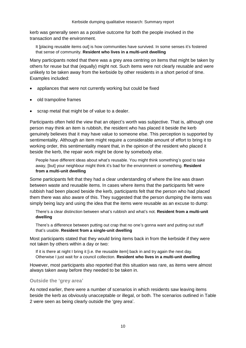kerb was generally seen as a positive outcome for both the people involved in the transaction and the environment.

It [placing reusable items out] is how communities have survived. In some senses it's fostered that sense of community. **Resident who lives in a multi-unit dwelling**

Many participants noted that there was a grey area centring on items that might be taken by others for reuse but that (equally) might not. Such items were not clearly reusable and were unlikely to be taken away from the kerbside by other residents in a short period of time. Examples included:

- appliances that were not currently working but could be fixed
- old trampoline frames
- scrap metal that might be of value to a dealer.

Participants often held the view that an object's worth was subjective. That is, although one person may think an item is rubbish, the resident who has placed it beside the kerb genuinely believes that it may have value to someone else. This perception is supported by sentimentality. Although an item might require a considerable amount of effort to bring it to working order, this sentimentality meant that, in the opinion of the resident who placed it beside the kerb, the repair work might be done by somebody else.

People have different ideas about what's reusable. You might think something's good to take away, [but] your neighbour might think it's bad for the environment or something. **Resident from a multi-unit dwelling**

Some participants felt that they had a clear understanding of where the line was drawn between waste and reusable items. In cases where items that the participants felt were rubbish had been placed beside the kerb, participants felt that the person who had placed them there was also aware of this. They suggested that the person dumping the items was simply being lazy and using the idea that the items were reusable as an excuse to dump:

There's a clear distinction between what's rubbish and what's not. **Resident from a multi-unit dwelling**

There's a difference between putting out crap that no one's gonna want and putting out stuff that's usable. **Resident from a single-unit dwelling**

Most participants stated that they would bring items back in from the kerbside if they were not taken by others within a day or two:

If it is there at night I bring it [i.e. the reusable item] back in and try again the next day. Otherwise I just wait for a council collection. **Resident who lives in a multi-unit dwelling**

However, most participants also reported that this situation was rare, as items were almost always taken away before they needed to be taken in.

#### **Outside the 'grey area'**

As noted earlier, there were a number of scenarios in which residents saw leaving items beside the kerb as obviously unacceptable or illegal, or both. The scenarios outlined in Table 2 were seen as being clearly outside the 'grey area'.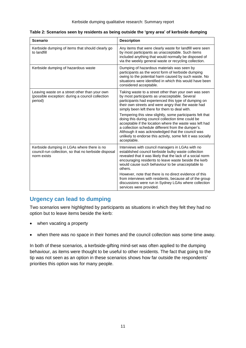| <b>Scenario</b>                                                                                                   | <b>Description</b>                                                                                                                                                                                                                                                                                                                                                   |
|-------------------------------------------------------------------------------------------------------------------|----------------------------------------------------------------------------------------------------------------------------------------------------------------------------------------------------------------------------------------------------------------------------------------------------------------------------------------------------------------------|
| Kerbside dumping of items that should clearly go<br>to landfill                                                   | Any items that were clearly waste for landfill were seen<br>by most participants as unacceptable. Such items<br>included anything that would normally be disposed of<br>via the weekly general waste or recycling collection.                                                                                                                                        |
| Kerbside dumping of hazardous waste                                                                               | Dumping of hazardous materials was seen by<br>participants as the worst form of kerbside dumping<br>owing to the potential harm caused by such waste. No<br>situations were identified in which this would have been<br>considered acceptable.                                                                                                                       |
| Leaving waste on a street other than your own<br>(possible exception: during a council collection<br>period)      | Taking waste to a street other than your own was seen<br>by most participants as unacceptable. Several<br>participants had experienced this type of dumping on<br>their own streets and were angry that the waste had<br>simply been left there for them to deal with.                                                                                               |
|                                                                                                                   | Tempering this view slightly, some participants felt that<br>doing this during council collection time could be<br>acceptable if the location where the waste was left had<br>a collection schedule different from the dumper's.<br>Although it was acknowledged that the council was<br>unlikely to endorse this activity, some felt it was socially<br>acceptable. |
| Kerbside dumping in LGAs where there is no<br>council-run collection, so that no kerbside disposal<br>norm exists | Interviews with council managers in LGAs with no<br>established council kerbside bulky waste collection<br>revealed that it was likely that the lack of a social norm<br>encouraging residents to leave waste beside the kerb<br>would cause such behaviour to be unacceptable to<br>others.                                                                         |
|                                                                                                                   | However, note that there is no direct evidence of this<br>from interviews with residents, because all of the group<br>discussions were run in Sydney LGAs where collection<br>services were provided.                                                                                                                                                                |

**Table 2: Scenarios seen by residents as being outside the 'grey area' of kerbside dumping**

# <span id="page-12-0"></span>**Urgency can lead to dumping**

Two scenarios were highlighted by participants as situations in which they felt they had no option but to leave items beside the kerb:

- when vacating a property
- when there was no space in their homes and the council collection was some time away.

In both of these scenarios, a kerbside-gifting mind-set was often applied to the dumping behaviour, as items were thought to be useful to other residents. The fact that going to the tip was not seen as an option in these scenarios shows how far outside the respondents' priorities this option was for many people.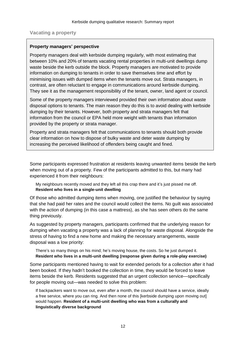**Vacating a property**

### **Property managers' perspective**

Property managers deal with kerbside dumping regularly, with most estimating that between 10% and 20% of tenants vacating rental properties in multi-unit dwellings dump waste beside the kerb outside the block. Property managers are motivated to provide information on dumping to tenants in order to save themselves time and effort by minimising issues with dumped items when the tenants move out. Strata managers, in contrast, are often reluctant to engage in communications around kerbside dumping. They see it as the management responsibility of the tenant, owner, land agent or council.

Some of the property managers interviewed provided their own information about waste disposal options to tenants. The main reason they do this is to avoid dealing with kerbside dumping by their tenants. However, both property and strata managers felt that information from the council or EPA held more weight with tenants than information provided by the property or strata manager.

Property and strata managers felt that communications to tenants should both provide clear information on how to dispose of bulky waste and deter waste dumping by increasing the perceived likelihood of offenders being caught and fined.

Some participants expressed frustration at residents leaving unwanted items beside the kerb when moving out of a property. Few of the participants admitted to this, but many had experienced it from their neighbours:

My neighbours recently moved and they left all this crap there and it's just pissed me off. **Resident who lives in a single-unit dwelling**

Of those who admitted dumping items when moving, one justified the behaviour by saying that she had paid her rates and the council would collect the items. No guilt was associated with the action of dumping (in this case a mattress), as she has seen others do the same thing previously.

As suggested by property managers, participants confirmed that the underlying reason for dumping when vacating a property was a lack of planning for waste disposal. Alongside the stress of having to find a new home and making the necessary arrangements, waste disposal was a low priority:

There's so many things on his mind; he's moving house, the costs. So he just dumped it. **Resident who lives in a multi-unit dwelling (response given during a role-play exercise)**

Some participants mentioned having to wait for extended periods for a collection after it had been booked. If they hadn't booked the collection in time, they would be forced to leave items beside the kerb. Residents suggested that an urgent collection service—specifically for people moving out—was needed to solve this problem:

If backpackers want to move out, even after a month, the council should have a service, ideally a free service, where you can ring. And then none of this [kerbside dumping upon moving out] would happen. **Resident of a multi-unit dwelling who was from a culturally and linguistically diverse background**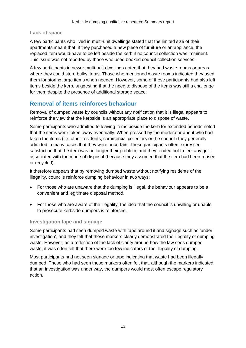### **Lack of space**

A few participants who lived in multi-unit dwellings stated that the limited size of their apartments meant that, if they purchased a new piece of furniture or an appliance, the replaced item would have to be left beside the kerb if no council collection was imminent. This issue was not reported by those who used booked council collection services.

A few participants in newer multi-unit dwellings noted that they had waste rooms or areas where they could store bulky items. Those who mentioned waste rooms indicated they used them for storing large items when needed. However, some of these participants had also left items beside the kerb, suggesting that the need to dispose of the items was still a challenge for them despite the presence of additional storage space.

# <span id="page-14-0"></span>**Removal of items reinforces behaviour**

Removal of dumped waste by councils without any notification that it is illegal appears to reinforce the view that the kerbside is an appropriate place to dispose of waste.

Some participants who admitted to leaving items beside the kerb for extended periods noted that the items were taken away eventually. When pressed by the moderator about who had taken the items (i.e. other residents, commercial collectors or the council) they generally admitted in many cases that they were uncertain. These participants often expressed satisfaction that the item was no longer their problem, and they tended not to feel any guilt associated with the mode of disposal (because they assumed that the item had been reused or recycled).

It therefore appears that by removing dumped waste without notifying residents of the illegality, councils reinforce dumping behaviour in two ways:

- For those who are unaware that the dumping is illegal, the behaviour appears to be a convenient and legitimate disposal method.
- For those who are aware of the illegality, the idea that the council is unwilling or unable to prosecute kerbside dumpers is reinforced.

### **Investigation tape and signage**

Some participants had seen dumped waste with tape around it and signage such as 'under investigation', and they felt that these markers clearly demonstrated the illegality of dumping waste. However, as a reflection of the lack of clarity around how the law sees dumped waste, it was often felt that there were too few indicators of the illegality of dumping.

Most participants had not seen signage or tape indicating that waste had been illegally dumped. Those who had seen these markers often felt that, although the markers indicated that an investigation was under way, the dumpers would most often escape regulatory action.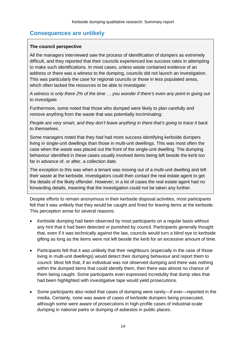# <span id="page-15-0"></span>**Consequences are unlikely**

## **The council perspective**

All the managers interviewed saw the process of identification of dumpers as extremely difficult, and they reported that their councils experienced low success rates in attempting to make such identifications. In most cases, unless waste contained evidence of an address or there was a witness to the dumping, councils did not launch an investigation. This was particularly the case for regional councils or those in less populated areas, which often lacked the resources to be able to investigate:

*A witness is only there 2% of the time … you wonder if there's even any point in going out to investigate.*

Furthermore, some noted that those who dumped were likely to plan carefully and remove anything from the waste that was potentially incriminating:

*People are very smart, and they don't leave anything in there that's going to trace it back to themselves.*

Some managers noted that they had had more success identifying kerbside dumpers living in single-unit dwellings than those in multi-unit dwellings. This was most often the case when the waste was placed out the front of the single-unit dwelling. The dumping behaviour identified in these cases usually involved items being left beside the kerb too far in advance of, or after, a collection date.

The exception to this was when a tenant was moving out of a multi-unit dwelling and left their waste at the kerbside. Investigators could then contact the real estate agent to get the details of the likely offender. However, in a lot of cases the real estate agent had no forwarding details, meaning that the investigation could not be taken any further.

Despite efforts to remain anonymous in their kerbside disposal activities, most participants felt that it was unlikely that they would be caught and fined for leaving items at the kerbside. This perception arose for several reasons:

- Kerbside dumping had been observed by most participants on a regular basis without any hint that it had been detected or punished by council. Participants generally thought that, even if it was technically against the law, councils would turn a blind eye to kerbside gifting as long as the items were not left beside the kerb for an excessive amount of time.
- Participants felt that it was unlikely that their neighbours (especially in the case of those living in multi-unit dwellings) would detect their dumping behaviour and report them to council. Most felt that, if an individual was not observed dumping and there was nothing within the dumped items that could identify them, then there was almost no chance of them being caught. Some participants even expressed incredulity that dump sites that had been highlighted with investigative tape would yield prosecutions.
- Some participants also noted that cases of dumping were rarely—if ever—reported in the media. Certainly, none was aware of cases of kerbside dumpers being prosecuted, although some were aware of prosecutions in high-profile cases of industrial-scale dumping in national parks or dumping of asbestos in public places.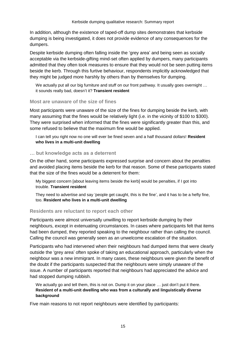In addition, although the existence of taped-off dump sites demonstrates that kerbside dumping is being investigated, it does not provide evidence of any consequences for the dumpers.

Despite kerbside dumping often falling inside the 'grey area' and being seen as socially acceptable via the kerbside-gifting mind-set often applied by dumpers, many participants admitted that they often took measures to ensure that they would not be seen putting items beside the kerb. Through this furtive behaviour, respondents implicitly acknowledged that they might be judged more harshly by others than by themselves for dumping.

We actually put all our big furniture and stuff on our front pathway. It usually goes overnight ... it sounds really bad, doesn't it? **Transient resident**

#### **Most are unaware of the size of fines**

Most participants were unaware of the size of the fines for dumping beside the kerb, with many assuming that the fines would be relatively light (i.e. in the vicinity of \$100 to \$300). They were surprised when informed that the fines were significantly greater than this, and some refused to believe that the maximum fine would be applied.

I can tell you right now no one will ever be fined seven and a half thousand dollars! **Resident who lives in a multi-unit dwelling**

#### **… but knowledge acts as a deterrent**

On the other hand, some participants expressed surprise and concern about the penalties and avoided placing items beside the kerb for that reason. Some of these participants stated that the size of the fines would be a deterrent for them:

My biggest concern [about leaving items beside the kerb] would be penalties, if I got into trouble. **Transient resident**

They need to advertise and say 'people get caught, this is the fine', and it has to be a hefty fine, too. **Resident who lives in a multi-unit dwelling**

#### **Residents are reluctant to report each other**

Participants were almost universally unwilling to report kerbside dumping by their neighbours, except in extenuating circumstances. In cases where participants felt that items had been dumped, they reported speaking to the neighbour rather than calling the council. Calling the council was generally seen as an unwelcome escalation of the situation.

Participants who had intervened when their neighbours had dumped items that were clearly outside the 'grey area' often spoke of taking an educational approach, particularly when the neighbour was a new immigrant. In many cases, these neighbours were given the benefit of the doubt if the participants suspected that the neighbours were simply unaware of the issue. A number of participants reported that neighbours had appreciated the advice and had stopped dumping rubbish.

We actually go and tell them, this is not on. Dump it on your place ... just don't put it there. **Resident of a multi-unit dwelling who was from a culturally and linguistically diverse background**

Five main reasons to not report neighbours were identified by participants: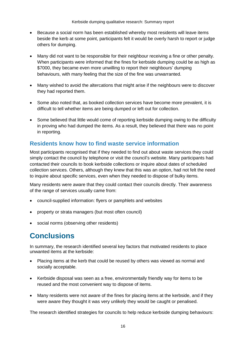Kerbside dumping qualitative research: Summary report

- Because a social norm has been established whereby most residents will leave items beside the kerb at some point, participants felt it would be overly harsh to report or judge others for dumping.
- Many did not want to be responsible for their neighbour receiving a fine or other penalty. When participants were informed that the fines for kerbside dumping could be as high as \$7000, they became even more unwilling to report their neighbours' dumping behaviours, with many feeling that the size of the fine was unwarranted.
- Many wished to avoid the altercations that might arise if the neighbours were to discover they had reported them.
- Some also noted that, as booked collection services have become more prevalent, it is difficult to tell whether items are being dumped or left out for collection.
- Some believed that little would come of reporting kerbside dumping owing to the difficulty in proving who had dumped the items. As a result, they believed that there was no point in reporting.

# <span id="page-17-0"></span>**Residents know how to find waste service information**

Most participants recognised that if they needed to find out about waste services they could simply contact the council by telephone or visit the council's website. Many participants had contacted their councils to book kerbside collections or inquire about dates of scheduled collection services. Others, although they knew that this was an option, had not felt the need to inquire about specific services, even when they needed to dispose of bulky items.

Many residents were aware that they could contact their councils directly. Their awareness of the range of services usually came from:

- council-supplied information: flyers or pamphlets and websites
- property or strata managers (but most often council)
- social norms (observing other residents)

# <span id="page-17-1"></span>**Conclusions**

In summary, the research identified several key factors that motivated residents to place unwanted items at the kerbside:

- Placing items at the kerb that could be reused by others was viewed as normal and socially acceptable.
- Kerbside disposal was seen as a free, environmentally friendly way for items to be reused and the most convenient way to dispose of items.
- Many residents were not aware of the fines for placing items at the kerbside, and if they were aware they thought it was very unlikely they would be caught or penalised.

The research identified strategies for councils to help reduce kerbside dumping behaviours: